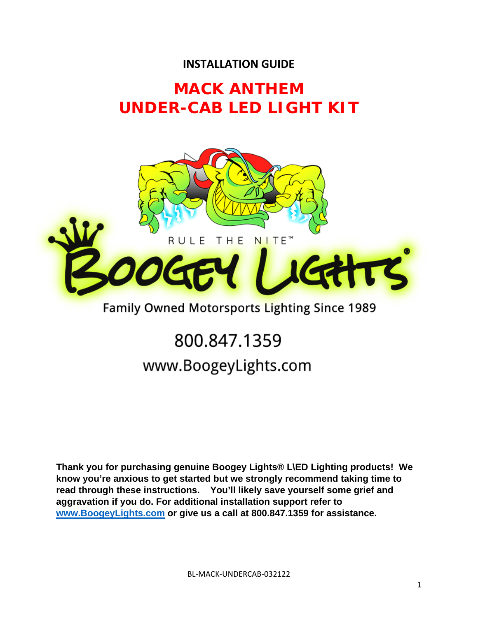### **INSTALLATION GUIDE**

## **MACK ANTHEM UNDER-CAB LED LIGHT KIT**



### Family Owned Motorsports Lighting Since 1989

## 800.847.1359 www.BoogeyLights.com

**Thank you for purchasing genuine Boogey Lights® L\ED Lighting products! We know you're anxious to get started but we strongly recommend taking time to read through these instructions. You'll likely save yourself some grief and aggravation if you do. For additional installation support refer to www.BoogeyLights.com or give us a call at 800.847.1359 for assistance.**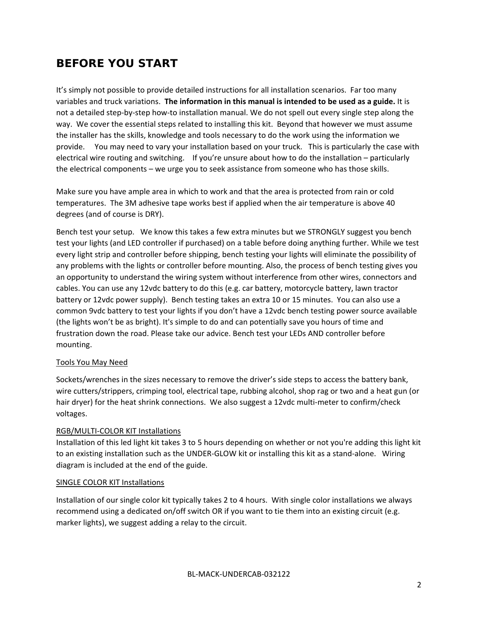### **BEFORE YOU START**

It's simply not possible to provide detailed instructions for all installation scenarios. Far too many variables and truck variations. **The information in this manual is intended to be used as a guide.** It is not a detailed step‐by‐step how‐to installation manual. We do not spell out every single step along the way. We cover the essential steps related to installing this kit. Beyond that however we must assume the installer has the skills, knowledge and tools necessary to do the work using the information we provide. You may need to vary your installation based on your truck. This is particularly the case with electrical wire routing and switching. If you're unsure about how to do the installation – particularly the electrical components – we urge you to seek assistance from someone who has those skills.

Make sure you have ample area in which to work and that the area is protected from rain or cold temperatures. The 3M adhesive tape works best if applied when the air temperature is above 40 degrees (and of course is DRY).

Bench test your setup. We know this takes a few extra minutes but we STRONGLY suggest you bench test your lights (and LED controller if purchased) on a table before doing anything further. While we test every light strip and controller before shipping, bench testing your lights will eliminate the possibility of any problems with the lights or controller before mounting. Also, the process of bench testing gives you an opportunity to understand the wiring system without interference from other wires, connectors and cables. You can use any 12vdc battery to do this (e.g. car battery, motorcycle battery, lawn tractor battery or 12vdc power supply). Bench testing takes an extra 10 or 15 minutes. You can also use a common 9vdc battery to test your lights if you don't have a 12vdc bench testing power source available (the lights won't be as bright). It's simple to do and can potentially save you hours of time and frustration down the road. Please take our advice. Bench test your LEDs AND controller before mounting.

#### Tools You May Need

Sockets/wrenches in the sizes necessary to remove the driver's side steps to access the battery bank, wire cutters/strippers, crimping tool, electrical tape, rubbing alcohol, shop rag or two and a heat gun (or hair dryer) for the heat shrink connections. We also suggest a 12vdc multi-meter to confirm/check voltages.

#### RGB/MULTI‐COLOR KIT Installations

Installation of this led light kit takes 3 to 5 hours depending on whether or not you're adding this light kit to an existing installation such as the UNDER-GLOW kit or installing this kit as a stand-alone. Wiring diagram is included at the end of the guide.

#### SINGLE COLOR KIT Installations

Installation of our single color kit typically takes 2 to 4 hours. With single color installations we always recommend using a dedicated on/off switch OR if you want to tie them into an existing circuit (e.g. marker lights), we suggest adding a relay to the circuit.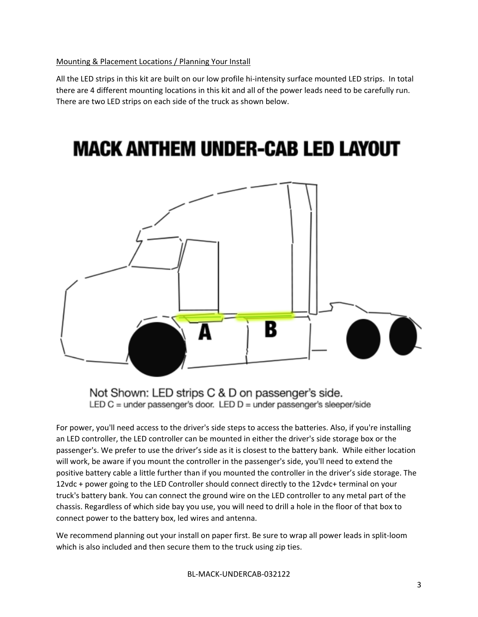#### Mounting & Placement Locations / Planning Your Install

All the LED strips in this kit are built on our low profile hi-intensity surface mounted LED strips. In total there are 4 different mounting locations in this kit and all of the power leads need to be carefully run. There are two LED strips on each side of the truck as shown below.

## **MACK ANTHEM UNDER-CAB LED LAYOUT**



Not Shown: LED strips C & D on passenger's side. LED C = under passenger's door. LED D = under passenger's sleeper/side

For power, you'll need access to the driver's side steps to access the batteries. Also, if you're installing an LED controller, the LED controller can be mounted in either the driver's side storage box or the passenger's. We prefer to use the driver's side as it is closest to the battery bank. While either location will work, be aware if you mount the controller in the passenger's side, you'll need to extend the positive battery cable a little further than if you mounted the controller in the driver's side storage. The 12vdc + power going to the LED Controller should connect directly to the 12vdc+ terminal on your truck's battery bank. You can connect the ground wire on the LED controller to any metal part of the chassis. Regardless of which side bay you use, you will need to drill a hole in the floor of that box to connect power to the battery box, led wires and antenna.

We recommend planning out your install on paper first. Be sure to wrap all power leads in split-loom which is also included and then secure them to the truck using zip ties.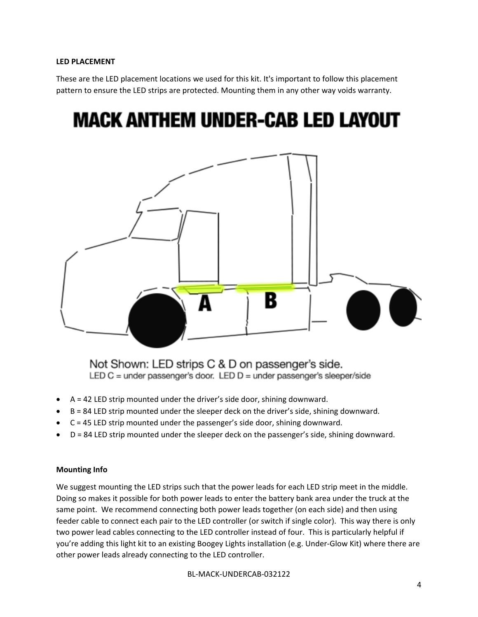#### **LED PLACEMENT**

These are the LED placement locations we used for this kit. It's important to follow this placement pattern to ensure the LED strips are protected. Mounting them in any other way voids warranty.

# **MACK ANTHEM UNDER-CAB LED LAYOUT**



Not Shown: LED strips C & D on passenger's side. LED C = under passenger's door. LED  $D$  = under passenger's sleeper/side

- $A = 42$  LED strip mounted under the driver's side door, shining downward.
- B = 84 LED strip mounted under the sleeper deck on the driver's side, shining downward.
- C = 45 LED strip mounted under the passenger's side door, shining downward.
- D = 84 LED strip mounted under the sleeper deck on the passenger's side, shining downward.

#### **Mounting Info**

We suggest mounting the LED strips such that the power leads for each LED strip meet in the middle. Doing so makes it possible for both power leads to enter the battery bank area under the truck at the same point. We recommend connecting both power leads together (on each side) and then using feeder cable to connect each pair to the LED controller (or switch if single color). This way there is only two power lead cables connecting to the LED controller instead of four. This is particularly helpful if you're adding this light kit to an existing Boogey Lights installation (e.g. Under‐Glow Kit) where there are other power leads already connecting to the LED controller.

BL‐MACK‐UNDERCAB‐032122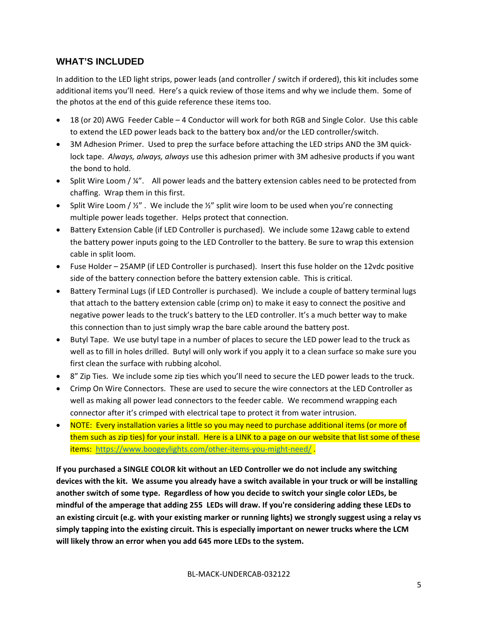#### **WHAT'S INCLUDED**

In addition to the LED light strips, power leads (and controller / switch if ordered), this kit includes some additional items you'll need. Here's a quick review of those items and why we include them. Some of the photos at the end of this guide reference these items too.

- 18 (or 20) AWG Feeder Cable 4 Conductor will work for both RGB and Single Color. Use this cable to extend the LED power leads back to the battery box and/or the LED controller/switch.
- 3M Adhesion Primer. Used to prep the surface before attaching the LED strips AND the 3M quicklock tape. *Always, always, always* use this adhesion primer with 3M adhesive products if you want the bond to hold.
- $\bullet$  Split Wire Loom /  $\frac{1}{4}$ ". All power leads and the battery extension cables need to be protected from chaffing. Wrap them in this first.
- Split Wire Loom  $/$  ½". We include the  $\frac{1}{2}$ " split wire loom to be used when you're connecting multiple power leads together. Helps protect that connection.
- Battery Extension Cable (if LED Controller is purchased). We include some 12awg cable to extend the battery power inputs going to the LED Controller to the battery. Be sure to wrap this extension cable in split loom.
- Fuse Holder 25AMP (if LED Controller is purchased). Insert this fuse holder on the 12vdc positive side of the battery connection before the battery extension cable. This is critical.
- Battery Terminal Lugs (if LED Controller is purchased). We include a couple of battery terminal lugs that attach to the battery extension cable (crimp on) to make it easy to connect the positive and negative power leads to the truck's battery to the LED controller. It's a much better way to make this connection than to just simply wrap the bare cable around the battery post.
- Butyl Tape. We use butyl tape in a number of places to secure the LED power lead to the truck as well as to fill in holes drilled. Butyl will only work if you apply it to a clean surface so make sure you first clean the surface with rubbing alcohol.
- 8" Zip Ties. We include some zip ties which you'll need to secure the LED power leads to the truck.
- Crimp On Wire Connectors. These are used to secure the wire connectors at the LED Controller as well as making all power lead connectors to the feeder cable. We recommend wrapping each connector after it's crimped with electrical tape to protect it from water intrusion.
- NOTE: Every installation varies a little so you may need to purchase additional items (or more of them such as zip ties) for your install. Here is a LINK to a page on our website that list some of these items: https://www.boogeylights.com/other-items-you-might-need/.

**If you purchased a SINGLE COLOR kit without an LED Controller we do not include any switching** devices with the kit. We assume you already have a switch available in your truck or will be installing **another switch of some type. Regardless of how you decide to switch your single color LEDs, be** mindful of the amperage that adding 255 LEDs will draw. If you're considering adding these LEDs to an existing circuit (e.g. with your existing marker or running lights) we strongly suggest using a relay vs **simply tapping into the existing circuit. This is especially important on newer trucks where the LCM will likely throw an error when you add 645 more LEDs to the system.**